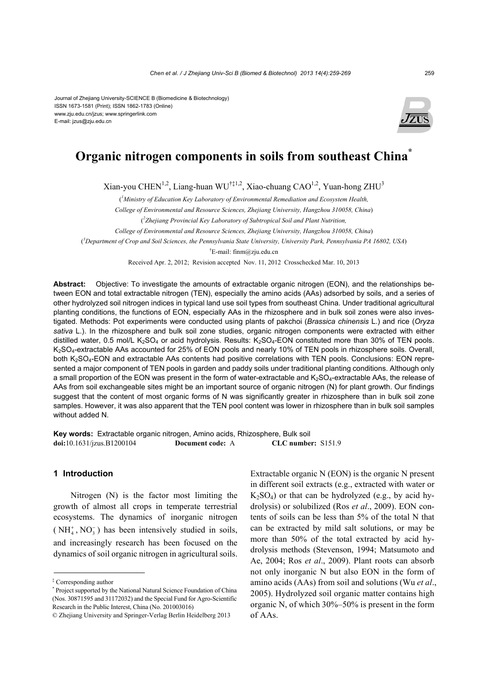

# **Organic nitrogen components in soils from southeast China\***

Xian-you CHEN<sup>1,2</sup>, Liang-huan WU<sup>†‡1,2</sup>, Xiao-chuang CAO<sup>1,2</sup>, Yuan-hong ZHU<sup>3</sup>

( *1 Ministry of Education Key Laboratory of Environmental Remediation and Ecosystem Health,* 

*College of Environmental and Resource Sciences, Zhejiang University, Hangzhou 310058, China*)

( *2 Zhejiang Provincial Key Laboratory of Subtropical Soil and Plant Nutrition,* 

*College of Environmental and Resource Sciences, Zhejiang University, Hangzhou 310058, China*)

( *3 Department of Crop and Soil Sciences, the Pennsylvania State University, University Park, Pennsylvania PA 16802, USA*)

† E-mail: finm@zju.edu.cn

Received Apr. 2, 2012; Revision accepted Nov. 11, 2012 Crosschecked Mar. 10, 2013

**Abstract:** Objective: To investigate the amounts of extractable organic nitrogen (EON), and the relationships between EON and total extractable nitrogen (TEN), especially the amino acids (AAs) adsorbed by soils, and a series of other hydrolyzed soil nitrogen indices in typical land use soil types from southeast China. Under traditional agricultural planting conditions, the functions of EON, especially AAs in the rhizosphere and in bulk soil zones were also investigated. Methods: Pot experiments were conducted using plants of pakchoi (*Brassica chinensis* L.) and rice (*Oryza sativa* L.). In the rhizosphere and bulk soil zone studies, organic nitrogen components were extracted with either distilled water, 0.5 mol/L K<sub>2</sub>SO<sub>4</sub> or acid hydrolysis. Results: K<sub>2</sub>SO<sub>4</sub>-EON constituted more than 30% of TEN pools. K2SO4-extractable AAs accounted for 25% of EON pools and nearly 10% of TEN pools in rhizosphere soils. Overall, both K<sub>2</sub>SO<sub>4</sub>-EON and extractable AAs contents had positive correlations with TEN pools. Conclusions: EON represented a major component of TEN pools in garden and paddy soils under traditional planting conditions. Although only a small proportion of the EON was present in the form of water-extractable and K<sub>2</sub>SO<sub>4</sub>-extractable AAs, the release of AAs from soil exchangeable sites might be an important source of organic nitrogen (N) for plant growth. Our findings suggest that the content of most organic forms of N was significantly greater in rhizosphere than in bulk soil zone samples. However, it was also apparent that the TEN pool content was lower in rhizosphere than in bulk soil samples without added N.

**Key words:** Extractable organic nitrogen, Amino acids, Rhizosphere, Bulk soil **doi:**10.1631/jzus.B1200104 **Document code:** A **CLC number:** S151.9

### **1 Introduction**

Nitrogen (N) is the factor most limiting the growth of almost all crops in temperate terrestrial ecosystems. The dynamics of inorganic nitrogen  $(NH<sub>4</sub><sup>+</sup>, NO<sub>3</sub><sup>-</sup>)$  has been intensively studied in soils, and increasingly research has been focused on the dynamics of soil organic nitrogen in agricultural soils.

Extractable organic N (EON) is the organic N present in different soil extracts (e.g., extracted with water or  $K_2SO_4$ ) or that can be hydrolyzed (e.g., by acid hydrolysis) or solubilized (Ros *et al*., 2009). EON contents of soils can be less than 5% of the total N that can be extracted by mild salt solutions, or may be more than 50% of the total extracted by acid hydrolysis methods (Stevenson, 1994; Matsumoto and Ae, 2004; Ros *et al*., 2009). Plant roots can absorb not only inorganic N but also EON in the form of amino acids (AAs) from soil and solutions (Wu *et al*., 2005). Hydrolyzed soil organic matter contains high organic N, of which 30%–50% is present in the form of AAs.

<sup>‡</sup> Corresponding author

<sup>\*</sup> Project supported by the National Natural Science Foundation of China (Nos. 30871595 and 31172032) and the Special Fund for Agro-Scientific Research in the Public Interest, China (No. 201003016)

<sup>©</sup> Zhejiang University and Springer-Verlag Berlin Heidelberg 2013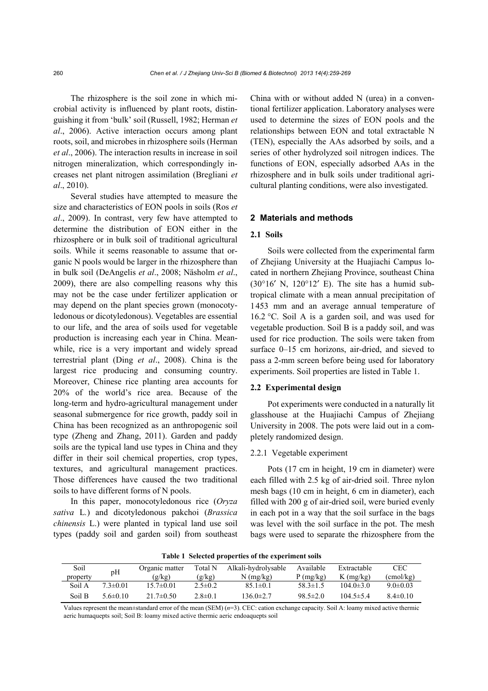The rhizosphere is the soil zone in which microbial activity is influenced by plant roots, distinguishing it from 'bulk' soil (Russell, 1982; Herman *et al*., 2006). Active interaction occurs among plant roots, soil, and microbes in rhizosphere soils (Herman *et al*., 2006). The interaction results in increase in soil nitrogen mineralization, which correspondingly increases net plant nitrogen assimilation (Bregliani *et al*., 2010).

Several studies have attempted to measure the size and characteristics of EON pools in soils (Ros *et al*., 2009). In contrast, very few have attempted to determine the distribution of EON either in the rhizosphere or in bulk soil of traditional agricultural soils. While it seems reasonable to assume that organic N pools would be larger in the rhizosphere than in bulk soil (DeAngelis *et al*., 2008; Näsholm *et al*., 2009), there are also compelling reasons why this may not be the case under fertilizer application or may depend on the plant species grown (monocotyledonous or dicotyledonous). Vegetables are essential to our life, and the area of soils used for vegetable production is increasing each year in China. Meanwhile, rice is a very important and widely spread terrestrial plant (Ding *et al*., 2008). China is the largest rice producing and consuming country. Moreover, Chinese rice planting area accounts for 20% of the world's rice area. Because of the long-term and hydro-agricultural management under seasonal submergence for rice growth, paddy soil in China has been recognized as an anthropogenic soil type (Zheng and Zhang, 2011). Garden and paddy soils are the typical land use types in China and they differ in their soil chemical properties, crop types, textures, and agricultural management practices. Those differences have caused the two traditional soils to have different forms of N pools.

In this paper, monocotyledonous rice (*Oryza sativa* L*.*) and dicotyledonous pakchoi (*Brassica chinensis* L.) were planted in typical land use soil types (paddy soil and garden soil) from southeast China with or without added N (urea) in a conventional fertilizer application. Laboratory analyses were used to determine the sizes of EON pools and the relationships between EON and total extractable N (TEN), especially the AAs adsorbed by soils, and a series of other hydrolyzed soil nitrogen indices. The functions of EON, especially adsorbed AAs in the rhizosphere and in bulk soils under traditional agricultural planting conditions, were also investigated.

#### **2 Materials and methods**

#### **2.1 Soils**

Soils were collected from the experimental farm of Zhejiang University at the Huajiachi Campus located in northern Zhejiang Province, southeast China  $(30^{\circ}16' \text{ N}$ ,  $120^{\circ}12' \text{ E}$ ). The site has a humid subtropical climate with a mean annual precipitation of 1453 mm and an average annual temperature of 16.2 °C. Soil A is a garden soil, and was used for vegetable production. Soil B is a paddy soil, and was used for rice production. The soils were taken from surface 0–15 cm horizons, air-dried, and sieved to pass a 2-mm screen before being used for laboratory experiments. Soil properties are listed in Table 1.

#### **2.2 Experimental design**

Pot experiments were conducted in a naturally lit glasshouse at the Huajiachi Campus of Zhejiang University in 2008. The pots were laid out in a completely randomized design.

#### 2.2.1 Vegetable experiment

Pots (17 cm in height, 19 cm in diameter) were each filled with 2.5 kg of air-dried soil. Three nylon mesh bags (10 cm in height, 6 cm in diameter), each filled with 200 g of air-dried soil, were buried evenly in each pot in a way that the soil surface in the bags was level with the soil surface in the pot. The mesh bags were used to separate the rhizosphere from the

**Table 1 Selected properties of the experiment soils**

| Soil     |                | Organic matter  | Total N       | Alkali-hydrolysable | Available      | Extractable   | <b>CEC</b>     |
|----------|----------------|-----------------|---------------|---------------------|----------------|---------------|----------------|
| property | pH             | (g/kg)          | (g/kg)        | $N$ (mg/kg)         | P(mg/kg)       | $K$ (mg/kg)   | (cmol/kg)      |
| Soil A   | $73\pm0.01$    | $157\pm0.01$    | $2.5 \pm 0.2$ | $85.1 \pm 0.1$      | $58.3 \pm 1.5$ | $104.0\pm3.0$ | $9.0 \pm 0.03$ |
| Soil B   | 5.6 $\pm$ 0.10 | $21.7 \pm 0.50$ | $2.8 \pm 0.1$ | $136.0 \pm 2.7$     | $98.5 \pm 2.0$ | $1045 \pm 54$ | $84\pm0.10$    |

Values represent the mean±standard error of the mean (SEM) (*n*=3). CEC: cation exchange capacity. Soil A: loamy mixed active thermic aeric humaquepts soil; Soil B: loamy mixed active thermic aeric endoaquepts soil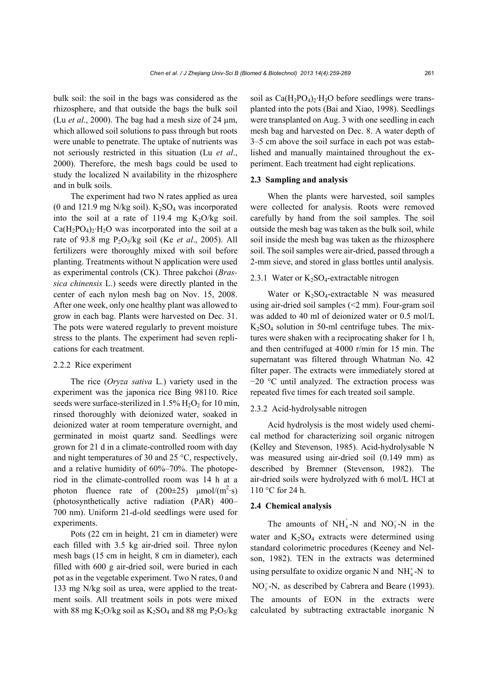bulk soil: the soil in the bags was considered as the rhizosphere, and that outside the bags the bulk soil (Lu *et al*., 2000). The bag had a mesh size of 24 μm, which allowed soil solutions to pass through but roots were unable to penetrate. The uptake of nutrients was not seriously restricted in this situation (Lu *et al*., 2000). Therefore, the mesh bags could be used to study the localized N availability in the rhizosphere and in bulk soils.

The experiment had two N rates applied as urea (0 and 121.9 mg N/kg soil).  $K_2SO_4$  was incorporated into the soil at a rate of 119.4 mg  $K_2O/kg$  soil.  $Ca(H_2PO_4)_2 \cdot H_2O$  was incorporated into the soil at a rate of 93.8 mg P2O5/kg soil (Ke *et al*., 2005). All fertilizers were thoroughly mixed with soil before planting. Treatments without N application were used as experimental controls (CK). Three pakchoi (*Brassica chinensis* L.) seeds were directly planted in the center of each nylon mesh bag on Nov. 15, 2008. After one week, only one healthy plant was allowed to grow in each bag. Plants were harvested on Dec. 31. The pots were watered regularly to prevent moisture stress to the plants. The experiment had seven replications for each treatment.

#### 2.2.2 Rice experiment

The rice (*Oryza sativa* L*.*) variety used in the experiment was the japonica rice Bing 98110. Rice seeds were surface-sterilized in  $1.5\%$  H<sub>2</sub>O<sub>2</sub> for 10 min, rinsed thoroughly with deionized water, soaked in deionized water at room temperature overnight, and germinated in moist quartz sand. Seedlings were grown for 21 d in a climate-controlled room with day and night temperatures of 30 and 25 °C, respectively, and a relative humidity of 60%–70%. The photoperiod in the climate-controlled room was 14 h at a photon fluence rate of  $(200\pm 25)$   $\mu$ mol/(m<sup>2</sup>·s) (photosynthetically active radiation (PAR) 400– 700 nm). Uniform 21-d-old seedlings were used for experiments.

Pots (22 cm in height, 21 cm in diameter) were each filled with 3.5 kg air-dried soil. Three nylon mesh bags (15 cm in height, 8 cm in diameter), each filled with 600 g air-dried soil, were buried in each pot as in the vegetable experiment. Two N rates, 0 and 133 mg N/kg soil as urea, were applied to the treatment soils. All treatment soils in pots were mixed with 88 mg K<sub>2</sub>O/kg soil as K<sub>2</sub>SO<sub>4</sub> and 88 mg P<sub>2</sub>O<sub>5</sub>/kg

soil as  $Ca(H_2PO_4)_2 \cdot H_2O$  before seedlings were transplanted into the pots (Bai and Xiao, 1998). Seedlings were transplanted on Aug. 3 with one seedling in each mesh bag and harvested on Dec. 8. A water depth of 3–5 cm above the soil surface in each pot was established and manually maintained throughout the experiment. Each treatment had eight replications.

#### **2.3 Sampling and analysis**

When the plants were harvested, soil samples were collected for analysis. Roots were removed carefully by hand from the soil samples. The soil outside the mesh bag was taken as the bulk soil, while soil inside the mesh bag was taken as the rhizosphere soil. The soil samples were air-dried, passed through a 2-mm sieve, and stored in glass bottles until analysis.

### 2.3.1 Water or  $K_2SO_4$ -extractable nitrogen

Water or  $K_2SO_4$ -extractable N was measured using air-dried soil samples (<2 mm). Four-gram soil was added to 40 ml of deionized water or 0.5 mol/L  $K_2SO_4$  solution in 50-ml centrifuge tubes. The mixtures were shaken with a reciprocating shaker for 1 h, and then centrifuged at 4000 r/min for 15 min. The supernatant was filtered through Whatman No. 42 filter paper. The extracts were immediately stored at −20 °C until analyzed. The extraction process was repeated five times for each treated soil sample.

### 2.3.2 Acid-hydrolysable nitrogen

Acid hydrolysis is the most widely used chemical method for characterizing soil organic nitrogen (Kelley and Stevenson, 1985). Acid-hydrolysable N was measured using air-dried soil (0.149 mm) as described by Bremner (Stevenson, 1982). The air-dried soils were hydrolyzed with 6 mol/L HCl at 110 °C for 24 h.

### **2.4 Chemical analysis**

The amounts of  $NH_4^+$ -N and NO<sub>3</sub>-N in the water and  $K_2SO_4$  extracts were determined using standard colorimetric procedures (Keeney and Nelson, 1982). TEN in the extracts was determined using persulfate to oxidize organic N and  $NH<sub>4</sub><sup>+</sup> - N$  to  $NO<sub>3</sub> - N$ , as described by Cabrera and Beare (1993). The amounts of EON in the extracts were calculated by subtracting extractable inorganic N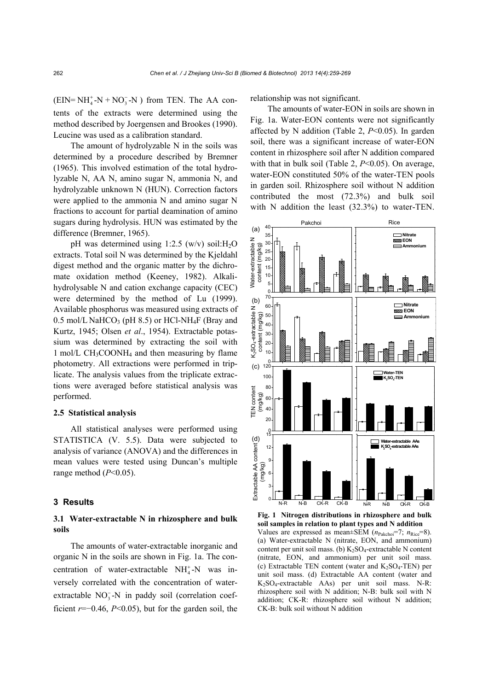$(EIN = NH_4^+ - N + NO_3^- - N)$  from TEN. The AA contents of the extracts were determined using the method described by Joergensen and Brookes (1990). Leucine was used as a calibration standard.

The amount of hydrolyzable N in the soils was determined by a procedure described by Bremner (1965). This involved estimation of the total hydrolyzable N, AA N, amino sugar N, ammonia N, and hydrolyzable unknown N (HUN). Correction factors were applied to the ammonia N and amino sugar N fractions to account for partial deamination of amino sugars during hydrolysis. HUN was estimated by the difference (Bremner, 1965).

pH was determined using  $1:2.5$  (w/v) soil:H<sub>2</sub>O extracts. Total soil N was determined by the Kjeldahl digest method and the organic matter by the dichromate oxidation method (Keeney, 1982). Alkalihydrolysable N and cation exchange capacity (CEC) were determined by the method of Lu (1999). Available phosphorus was measured using extracts of 0.5 mol/L NaHCO<sub>3</sub> (pH 8.5) or HCl-NH<sub>4</sub>F (Bray and Kurtz, 1945; Olsen *et al*., 1954). Extractable potassium was determined by extracting the soil with 1 mol/L CH<sub>3</sub>COONH<sub>4</sub> and then measuring by flame photometry. All extractions were performed in triplicate. The analysis values from the triplicate extractions were averaged before statistical analysis was performed.

#### **2.5 Statistical analysis**

All statistical analyses were performed using STATISTICA (V. 5.5). Data were subjected to analysis of variance (ANOVA) and the differences in mean values were tested using Duncan's multiple range method (*P*<0.05).

### **3 Results**

### **3.1 Water-extractable N in rhizosphere and bulk soils**

The amounts of water-extractable inorganic and organic N in the soils are shown in Fig. 1a. The concentration of water-extractable  $NH<sub>4</sub><sup>+</sup>-N$  was inversely correlated with the concentration of waterextractable  $NO_3^-$ -N in paddy soil (correlation coefficient *r*=−0.46, *P*<0.05), but for the garden soil, the relationship was not significant.

The amounts of water-EON in soils are shown in Fig. 1a. Water-EON contents were not significantly affected by N addition (Table 2, *P*<0.05). In garden soil, there was a significant increase of water-EON content in rhizosphere soil after N addition compared with that in bulk soil (Table 2, *P*<0.05). On average, water-EON constituted 50% of the water-TEN pools in garden soil. Rhizosphere soil without N addition contributed the most (72.3%) and bulk soil with N addition the least  $(32.3%)$  to water-TEN.



**Fig. 1 Nitrogen distributions in rhizosphere and bulk soil samples in relation to plant types and N addition**  Values are expressed as mean±SEM ( $n<sub>Pakchoi</sub>=7$ ;  $n<sub>Rice</sub>=8$ ). (a) Water-extractable N (nitrate, EON, and ammonium) content per unit soil mass. (b)  $K_2SO_4$ -extractable N content (nitrate, EON, and ammonium) per unit soil mass. (c) Extractable TEN content (water and  $K_2SO_4$ -TEN) per unit soil mass. (d) Extractable AA content (water and K2SO4-extractable AAs) per unit soil mass. N-R: rhizosphere soil with N addition; N-B: bulk soil with N addition; CK-R: rhizosphere soil without N addition; CK-B: bulk soil without N addition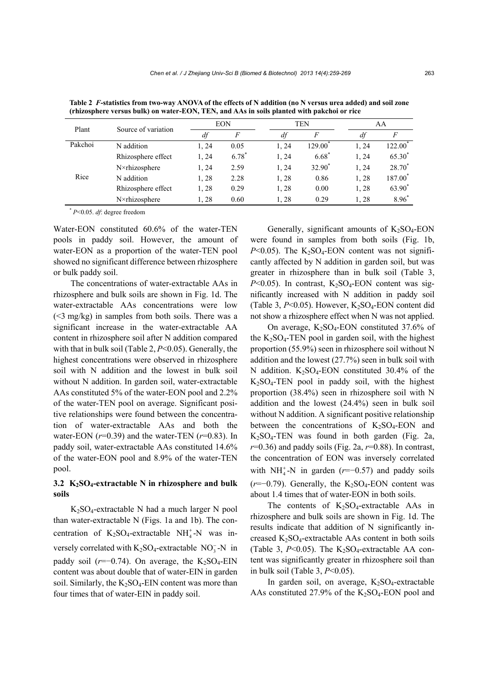| Plant   | Source of variation | <b>EON</b> |       | TEN   |                     | AA    |                     |
|---------|---------------------|------------|-------|-------|---------------------|-------|---------------------|
|         |                     | df         | F     | df    | F                   | df    | F                   |
| Pakchoi | N addition          | 1, 24      | 0.05  | 1, 24 | 129.00 <sup>*</sup> | 1, 24 | $122.00^*$          |
|         | Rhizosphere effect  | 1, 24      | 6.78* | 1, 24 | $6.68*$             | 1, 24 | 65.30*              |
|         | N×rhizosphere       | 1, 24      | 2.59  | 1, 24 | 32.90 <sup>*</sup>  | 1, 24 | $28.70*$            |
| Rice    | N addition          | 1,28       | 2.28  | 1,28  | 0.86                | 1,28  | 187.00 <sup>*</sup> |
|         | Rhizosphere effect  | 1, 28      | 0.29  | 1, 28 | 0.00                | 1, 28 | 63.90 <sup>*</sup>  |
|         | N×rhizosphere       | 1,28       | 0.60  | 1,28  | 0.29                | 1, 28 | $8.96*$             |

**Table 2** *F***-statistics from two-way ANOVA of the effects of N addition (no N versus urea added) and soil zone (rhizosphere versus bulk) on water-EON, TEN, and AAs in soils planted with pakchoi or rice** 

\* *P*<0.05. *df*: degree freedom

Water-EON constituted 60.6% of the water-TEN pools in paddy soil. However, the amount of water-EON as a proportion of the water-TEN pool showed no significant difference between rhizosphere or bulk paddy soil.

The concentrations of water-extractable AAs in rhizosphere and bulk soils are shown in Fig. 1d. The water-extractable AAs concentrations were low (<3 mg/kg) in samples from both soils. There was a significant increase in the water-extractable AA content in rhizosphere soil after N addition compared with that in bulk soil (Table 2, *P*<0.05). Generally, the highest concentrations were observed in rhizosphere soil with N addition and the lowest in bulk soil without N addition. In garden soil, water-extractable AAs constituted 5% of the water-EON pool and 2.2% of the water-TEN pool on average. Significant positive relationships were found between the concentration of water-extractable AAs and both the water-EON (*r*=0.39) and the water-TEN (*r*=0.83). In paddy soil, water-extractable AAs constituted 14.6% of the water-EON pool and 8.9% of the water-TEN pool.

### **3.2 K2SO4-extractable N in rhizosphere and bulk soils**

 $K_2SO_4$ -extractable N had a much larger N pool than water-extractable N (Figs. 1a and 1b). The concentration of  $K_2SO_4$ -extractable NH<sup>+</sup><sub>4</sub>-N was inversely correlated with  $K_2SO_4$ -extractable NO<sub>3</sub>-N in paddy soil  $(r=-0.74)$ . On average, the K<sub>2</sub>SO<sub>4</sub>-EIN content was about double that of water-EIN in garden soil. Similarly, the  $K_2SO_4$ -EIN content was more than four times that of water-EIN in paddy soil.

Generally, significant amounts of  $K_2SO_4$ -EON were found in samples from both soils (Fig. 1b,  $P<0.05$ ). The K<sub>2</sub>SO<sub>4</sub>-EON content was not significantly affected by N addition in garden soil, but was greater in rhizosphere than in bulk soil (Table 3,  $P<0.05$ ). In contrast, K<sub>2</sub>SO<sub>4</sub>-EON content was significantly increased with N addition in paddy soil (Table 3,  $P \le 0.05$ ). However,  $K_2SO_4$ -EON content did not show a rhizosphere effect when N was not applied.

On average,  $K_2SO_4$ -EON constituted 37.6% of the  $K_2SO_4$ -TEN pool in garden soil, with the highest proportion (55.9%) seen in rhizosphere soil without N addition and the lowest (27.7%) seen in bulk soil with N addition.  $K_2SO_4$ -EON constituted 30.4% of the  $K<sub>2</sub>SO<sub>4</sub>-TEM$  pool in paddy soil, with the highest proportion (38.4%) seen in rhizosphere soil with N addition and the lowest (24.4%) seen in bulk soil without N addition. A significant positive relationship between the concentrations of  $K_2SO_4$ -EON and  $K<sub>2</sub>SO<sub>4</sub>-TEN$  was found in both garden (Fig. 2a, *r*=0.36) and paddy soils (Fig. 2a, *r*=0.88). In contrast, the concentration of EON was inversely correlated with NH<sup> $+$ </sup><sub>4</sub>-N in garden ( $r$ =−0.57) and paddy soils (*r*=−0.79). Generally, the K<sub>2</sub>SO<sub>4</sub>-EON content was about 1.4 times that of water-EON in both soils.

The contents of  $K_2SO_4$ -extractable AAs in rhizosphere and bulk soils are shown in Fig. 1d. The results indicate that addition of N significantly increased  $K_2SO_4$ -extractable AAs content in both soils (Table 3,  $P<0.05$ ). The K<sub>2</sub>SO<sub>4</sub>-extractable AA content was significantly greater in rhizosphere soil than in bulk soil (Table 3, *P*<0.05).

In garden soil, on average,  $K_2SO_4$ -extractable AAs constituted 27.9% of the  $K_2SO_4$ -EON pool and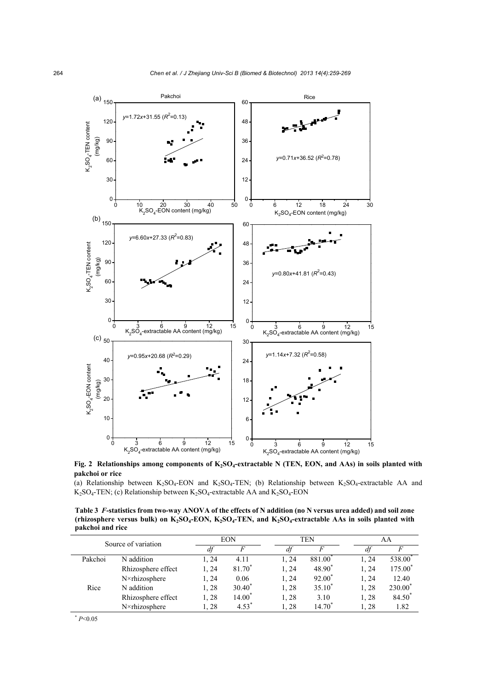

Fig. 2 Relationships among components of K<sub>2</sub>SO<sub>4</sub>-extractable N (TEN, EON, and AAs) in soils planted with **pakchoi or rice** 

(a) Relationship between  $K_2SO_4$ -EON and  $K_2SO_4$ -TEN; (b) Relationship between  $K_2SO_4$ -extractable AA and  $K<sub>2</sub>SO<sub>4</sub>-TEN$ ; (c) Relationship between  $K<sub>2</sub>SO<sub>4</sub>$ -extractable AA and  $K<sub>2</sub>SO<sub>4</sub>$ -EON

**Table 3** *F***-statistics from two-way ANOVA of the effects of N addition (no N versus urea added) and soil zone**  (rhizosphere versus bulk) on K<sub>2</sub>SO<sub>4</sub>-EON, K<sub>2</sub>SO<sub>4</sub>-TEN, and K<sub>2</sub>SO<sub>4</sub>-extractable AAs in soils planted with **pakchoi and rice** 

| Source of variation |                    |       | <b>EON</b>       |  | TEN   |             | AA    |                     |
|---------------------|--------------------|-------|------------------|--|-------|-------------|-------|---------------------|
|                     |                    | df    | F                |  | dt    | F           | df    |                     |
| Pakchoi             | N addition         | 1, 24 | 4.11             |  | 1.24  | 881.00      | l. 24 | 538.00              |
|                     | Rhizosphere effect | 1, 24 | 81.70            |  | 1, 24 | 48.90       | 1.24  | 175.00 <sup>*</sup> |
|                     | N×rhizosphere      | 1, 24 | 0.06             |  | 1, 24 | $92.00^*$   | 1, 24 | 12.40               |
| Rice                | N addition         | 1,28  | $30.40^*$        |  | 1,28  | $35.10*$    | 1,28  | 230.00*             |
|                     | Rhizosphere effect | 1,28  | $14.00^*$        |  | 1,28  | 3.10        | 1,28  | 84.50 <sup>*</sup>  |
|                     | N×rhizosphere      | 1,28  | $4.53^{\degree}$ |  | 1, 28 | $14.70^{*}$ | 1,28  | 1.82                |

 $*_{P<0.05}$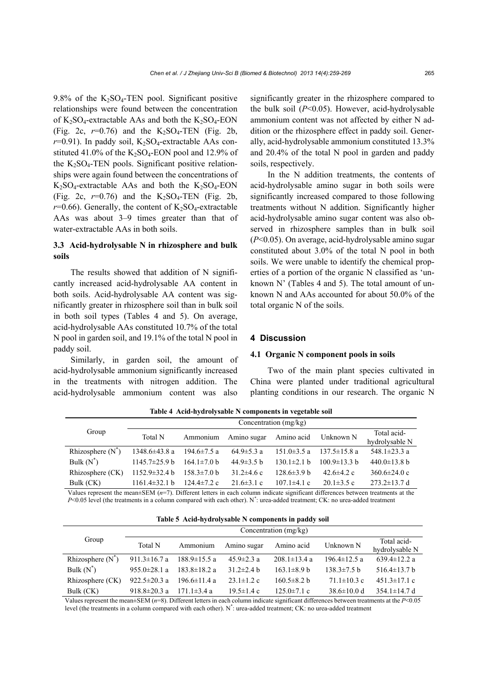9.8% of the  $K_2SO_4$ -TEN pool. Significant positive relationships were found between the concentration of  $K_2SO_4$ -extractable AAs and both the  $K_2SO_4$ -EON (Fig. 2c,  $r=0.76$ ) and the K<sub>2</sub>SO<sub>4</sub>-TEN (Fig. 2b,  $r=0.91$ ). In paddy soil, K<sub>2</sub>SO<sub>4</sub>-extractable AAs constituted 41.0% of the  $K_2SO_4$ -EON pool and 12.9% of the  $K_2SO_4$ -TEN pools. Significant positive relationships were again found between the concentrations of  $K_2SO_4$ -extractable AAs and both the  $K_2SO_4$ -EON (Fig. 2c,  $r=0.76$ ) and the K<sub>2</sub>SO<sub>4</sub>-TEN (Fig. 2b,  $r=0.66$ ). Generally, the content of  $K_2SO_4$ -extractable AAs was about 3–9 times greater than that of water-extractable AAs in both soils.

### **3.3 Acid-hydrolysable N in rhizosphere and bulk soils**

The results showed that addition of N significantly increased acid-hydrolysable AA content in both soils. Acid-hydrolysable AA content was significantly greater in rhizosphere soil than in bulk soil in both soil types (Tables 4 and 5). On average, acid-hydrolysable AAs constituted 10.7% of the total N pool in garden soil, and 19.1% of the total N pool in paddy soil.

Similarly, in garden soil, the amount of acid-hydrolysable ammonium significantly increased in the treatments with nitrogen addition. The acid-hydrolysable ammonium content was also

significantly greater in the rhizosphere compared to the bulk soil (*P*<0.05). However, acid-hydrolysable ammonium content was not affected by either N addition or the rhizosphere effect in paddy soil. Generally, acid-hydrolysable ammonium constituted 13.3% and 20.4% of the total N pool in garden and paddy soils, respectively.

In the N addition treatments, the contents of acid-hydrolysable amino sugar in both soils were significantly increased compared to those following treatments without N addition. Significantly higher acid-hydrolysable amino sugar content was also observed in rhizosphere samples than in bulk soil (*P*<0.05). On average, acid-hydrolysable amino sugar constituted about 3.0% of the total N pool in both soils. We were unable to identify the chemical properties of a portion of the organic N classified as 'unknown N' (Tables 4 and 5). The total amount of unknown N and AAs accounted for about 50.0% of the total organic N of the soils.

### **4 Discussion**

### **4.1 Organic N component pools in soils**

Two of the main plant species cultivated in China were planted under traditional agricultural planting conditions in our research. The organic N

|                                                                                                                                                                                                                                                                                                               | Concentration $(mg/kg)$    |                           |                  |                   |                            |                    |  |  |
|---------------------------------------------------------------------------------------------------------------------------------------------------------------------------------------------------------------------------------------------------------------------------------------------------------------|----------------------------|---------------------------|------------------|-------------------|----------------------------|--------------------|--|--|
| Group                                                                                                                                                                                                                                                                                                         | Total N                    | Ammonium                  | Amino sugar      | Amino acid        | Unknown N                  | Total acid-        |  |  |
|                                                                                                                                                                                                                                                                                                               |                            |                           |                  |                   |                            | hydrolysable N     |  |  |
| Rhizosphere $(N^{\tilde{}})$                                                                                                                                                                                                                                                                                  | $1348.6 \pm 43.8$ a        | $194.6 \pm 7.5$ a         | $64.9 \pm 5.3$ a | $151.0 \pm 3.5$ a | $137.5 \pm 15.8$ a         | 548.1 $\pm$ 23.3 a |  |  |
| Bulk $(N^*)$                                                                                                                                                                                                                                                                                                  | $1145.7\pm 25.9 \text{ h}$ | $164.1 \pm 7.0$ b         | $44.9\pm3.5 h$   | $130.1 \pm 2.1 h$ | $100.9 \pm 13.3 \text{ h}$ | $440.0 \pm 13.8$ b |  |  |
| Rhizosphere (CK)                                                                                                                                                                                                                                                                                              | $1152.9 \pm 32.4 b$        | $158.3 \pm 7.0 \text{ b}$ | $31.2\pm4.6$ c   | $128.6\pm3.9 h$   | 42.6 $\pm$ 4.2 c           | $360.6 \pm 24.0$ c |  |  |
| Bulk (CK)                                                                                                                                                                                                                                                                                                     | $1161.4\pm32.1 b$          | $124.4 \pm 7.2$ c         | $21.6 \pm 3.1$ c | $107.1\pm4.1$ c   | $20.1 \pm 3.5$ c           | $273.2 \pm 13.7$ d |  |  |
| $\mathbf{V}$ , and $\mathbf{V}$ , $\mathbf{V}$ , $\mathbf{V}$ , $\mathbf{V}$ , $\mathbf{V}$ , $\mathbf{V}$ , $\mathbf{V}$ , $\mathbf{V}$ , $\mathbf{V}$ , $\mathbf{V}$ , $\mathbf{V}$ , $\mathbf{V}$ , $\mathbf{V}$ , $\mathbf{V}$ , $\mathbf{V}$ , $\mathbf{V}$ , $\mathbf{V}$ , $\mathbf{V}$ , $\mathbf{V}$ |                            |                           |                  |                   |                            |                    |  |  |

**Table 4 Acid-hydrolysable N components in vegetable soil**

Values represent the mean±SEM (*n*=7). Different letters in each column indicate significant differences between treatments at the *P*<0.05 level (the treatments in a column compared with each other). N<sup>\*</sup>: urea-added treatment; CK: no urea-added treatment

|  |  |  | Table 5 Acid-hydrolysable N components in paddy soil |  |  |
|--|--|--|------------------------------------------------------|--|--|
|--|--|--|------------------------------------------------------|--|--|

|                             | Concentration $(mg/kg)$ |                           |                  |                    |                    |                               |  |
|-----------------------------|-------------------------|---------------------------|------------------|--------------------|--------------------|-------------------------------|--|
| Group                       | Total N                 | Ammonium                  | Amino sugar      | Amino acid         | Unknown N          | Total acid-<br>hydrolysable N |  |
| Rhizosphere $(N^{\dagger})$ | 911.3 $\pm$ 16.7 a      | $188.9 \pm 15.5$ a        | $45.9 \pm 2.3$ a | $208.1 \pm 13.4$ a | $196.4 \pm 12.5$ a | 639.4 $\pm$ 12.2 a            |  |
| Bulk $(N^*)$                | 955.0 $\pm$ 28.1 a      | $183.8 \pm 18.2$ a        | $31.2 \pm 2.4 h$ | $163.1\pm8.9 h$    | $138.3 \pm 7.5$ b  | 516.4 $\pm$ 13.7 b            |  |
| Rhizosphere (CK)            | $922.5 \pm 20.3$ a      | $196.6 \pm 11.4 a$        | $23.1 \pm 1.2$ c | $160.5 \pm 8.2$ b  | $71.1 \pm 10.3$ c  | $451.3 \pm 17.1$ c            |  |
| Bulk (CK)                   | 918.8 $\pm$ 20.3 a      | $171.1 \pm 3.4 \text{ a}$ | $19.5 \pm 1.4$ c | $125.0 \pm 7.1$ c  | $38.6 \pm 10.0$ d  | $354.1 \pm 14.7$ d            |  |

Values represent the mean±SEM (*n*=8). Different letters in each column indicate significant differences between treatments at the *P*<0.05 level (the treatments in a column compared with each other). N\* : urea-added treatment; CK: no urea-added treatment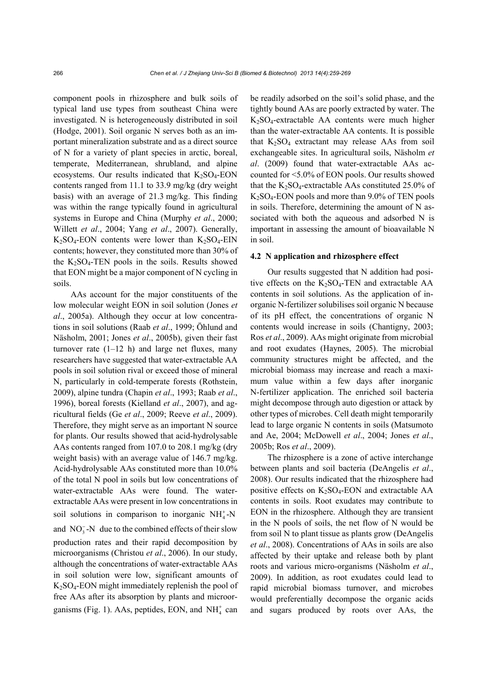component pools in rhizosphere and bulk soils of typical land use types from southeast China were investigated. N is heterogeneously distributed in soil (Hodge, 2001). Soil organic N serves both as an important mineralization substrate and as a direct source of N for a variety of plant species in arctic, boreal, temperate, Mediterranean, shrubland, and alpine ecosystems. Our results indicated that  $K_2SO_4$ -EON contents ranged from 11.1 to 33.9 mg/kg (dry weight basis) with an average of 21.3 mg/kg. This finding was within the range typically found in agricultural systems in Europe and China (Murphy *et al*., 2000; Willett *et al*., 2004; Yang *et al*., 2007). Generally,  $K<sub>2</sub>SO<sub>4</sub>$ -EON contents were lower than  $K<sub>2</sub>SO<sub>4</sub>$ -EIN contents; however, they constituted more than 30% of the  $K_2SO_4$ -TEN pools in the soils. Results showed that EON might be a major component of N cycling in soils.

AAs account for the major constituents of the low molecular weight EON in soil solution (Jones *et al*., 2005a). Although they occur at low concentrations in soil solutions (Raab *et al*., 1999; Öhlund and Näsholm, 2001; Jones *et al*., 2005b), given their fast turnover rate  $(1-12 h)$  and large net fluxes, many researchers have suggested that water-extractable AA pools in soil solution rival or exceed those of mineral N, particularly in cold-temperate forests (Rothstein, 2009), alpine tundra (Chapin *et al*., 1993; Raab *et al*., 1996), boreal forests (Kielland *et al*., 2007), and agricultural fields (Ge *et al*., 2009; Reeve *et al*., 2009). Therefore, they might serve as an important N source for plants. Our results showed that acid-hydrolysable AAs contents ranged from 107.0 to 208.1 mg/kg (dry weight basis) with an average value of 146.7 mg/kg. Acid-hydrolysable AAs constituted more than 10.0% of the total N pool in soils but low concentrations of water-extractable AAs were found. The waterextractable AAs were present in low concentrations in soil solutions in comparison to inorganic  $NH<sub>4</sub><sup>+</sup>-N$ 

and  $NO_3^-$ -N due to the combined effects of their slow production rates and their rapid decomposition by microorganisms (Christou *et al*., 2006). In our study, although the concentrations of water-extractable AAs in soil solution were low, significant amounts of  $K<sub>2</sub>SO<sub>4</sub>$ -EON might immediately replenish the pool of free AAs after its absorption by plants and microorganisms (Fig. 1). AAs, peptides, EON, and  $NH<sub>4</sub><sup>+</sup>$  can be readily adsorbed on the soil's solid phase, and the tightly bound AAs are poorly extracted by water. The  $K<sub>2</sub>SO<sub>4</sub>$ -extractable AA contents were much higher than the water-extractable AA contents. It is possible that  $K_2SO_4$  extractant may release AAs from soil exchangeable sites. In agricultural soils, Näsholm *et al*. (2009) found that water-extractable AAs accounted for <5.0% of EON pools. Our results showed that the  $K_2SO_4$ -extractable AAs constituted 25.0% of  $K<sub>2</sub>SO<sub>4</sub>$ -EON pools and more than 9.0% of TEN pools in soils. Therefore, determining the amount of N associated with both the aqueous and adsorbed N is important in assessing the amount of bioavailable N in soil.

### **4.2 N application and rhizosphere effect**

Our results suggested that N addition had positive effects on the  $K_2SO_4$ -TEN and extractable AA contents in soil solutions. As the application of inorganic N-fertilizer solubilises soil organic N because of its pH effect, the concentrations of organic N contents would increase in soils (Chantigny, 2003; Ros *et al*., 2009). AAs might originate from microbial and root exudates (Haynes, 2005). The microbial community structures might be affected, and the microbial biomass may increase and reach a maximum value within a few days after inorganic N-fertilizer application. The enriched soil bacteria might decompose through auto digestion or attack by other types of microbes. Cell death might temporarily lead to large organic N contents in soils (Matsumoto and Ae, 2004; McDowell *et al*., 2004; Jones *et al*., 2005b; Ros *et al*., 2009).

The rhizosphere is a zone of active interchange between plants and soil bacteria (DeAngelis *et al*., 2008). Our results indicated that the rhizosphere had positive effects on  $K_2SO_4$ -EON and extractable AA contents in soils. Root exudates may contribute to EON in the rhizosphere. Although they are transient in the N pools of soils, the net flow of N would be from soil N to plant tissue as plants grow (DeAngelis *et al*., 2008). Concentrations of AAs in soils are also affected by their uptake and release both by plant roots and various micro-organisms (Näsholm *et al*., 2009). In addition, as root exudates could lead to rapid microbial biomass turnover, and microbes would preferentially decompose the organic acids and sugars produced by roots over AAs, the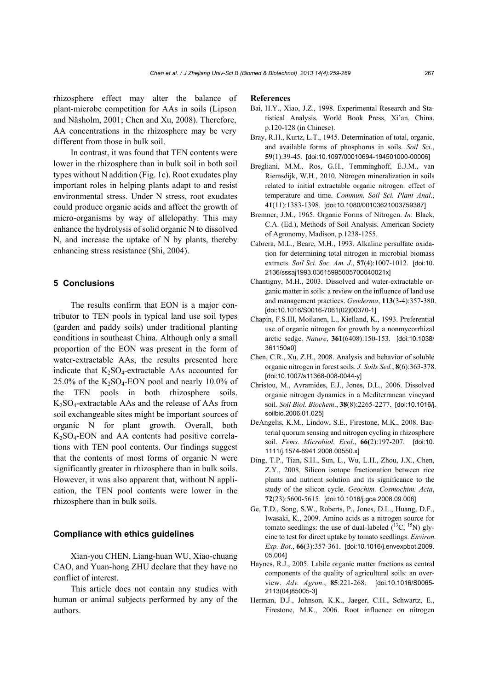rhizosphere effect may alter the balance of plant-microbe competition for AAs in soils (Lipson and Näsholm, 2001; Chen and Xu, 2008). Therefore, AA concentrations in the rhizosphere may be very different from those in bulk soil.

In contrast, it was found that TEN contents were lower in the rhizosphere than in bulk soil in both soil types without N addition (Fig. 1c). Root exudates play important roles in helping plants adapt to and resist environmental stress. Under N stress, root exudates could produce organic acids and affect the growth of micro-organisms by way of allelopathy. This may enhance the hydrolysis of solid organic N to dissolved N, and increase the uptake of N by plants, thereby enhancing stress resistance (Shi, 2004).

### **5 Conclusions**

The results confirm that EON is a major contributor to TEN pools in typical land use soil types (garden and paddy soils) under traditional planting conditions in southeast China. Although only a small proportion of the EON was present in the form of water-extractable AAs, the results presented here indicate that  $K_2SO_4$ -extractable AAs accounted for  $25.0\%$  of the K<sub>2</sub>SO<sub>4</sub>-EON pool and nearly 10.0% of the TEN pools in both rhizosphere soils.  $K<sub>2</sub>SO<sub>4</sub>$ -extractable AAs and the release of AAs from soil exchangeable sites might be important sources of organic N for plant growth. Overall, both  $K<sub>2</sub>SO<sub>4</sub>$ -EON and AA contents had positive correlations with TEN pool contents. Our findings suggest that the contents of most forms of organic N were significantly greater in rhizosphere than in bulk soils. However, it was also apparent that, without N application, the TEN pool contents were lower in the rhizosphere than in bulk soils.

### **Compliance with ethics guidelines**

Xian-you CHEN, Liang-huan WU, Xiao-chuang CAO, and Yuan-hong ZHU declare that they have no conflict of interest.

This article does not contain any studies with human or animal subjects performed by any of the authors.

#### **References**

- Bai, H.Y., Xiao, J.Z., 1998. Experimental Research and Statistical Analysis. World Book Press, Xi'an, China, p.120-128 (in Chinese).
- Bray, R.H., Kurtz, L.T., 1945. Determination of total, organic, and available forms of phosphorus in soils. *Soil Sci*., **59**(1):39-45. [doi:10.1097/00010694-194501000-00006]
- Bregliani, M.M., Ros, G.H., Temminghoff, E.J.M., van Riemsdijk, W.H., 2010. Nitrogen mineralization in soils related to initial extractable organic nitrogen: effect of temperature and time. *Commun. Soil Sci. Plant Anal*., **41**(11):1383-1398. [doi:10.1080/00103621003759387]
- Bremner, J.M., 1965. Organic Forms of Nitrogen. *In*: Black, C.A. (Ed.), Methods of Soil Analysis. American Society of Agronomy, Madison, p.1238-1255.
- Cabrera, M.L., Beare, M.H., 1993. Alkaline persulfate oxidation for determining total nitrogen in microbial biomass extracts. *Soil Sci. Soc. Am. J*., **57**(4):1007-1012. [doi:10. 2136/sssaj1993.03615995005700040021x]
- Chantigny, M.H., 2003. Dissolved and water-extractable organic matter in soils: a review on the influence of land use and management practices. *Geoderma*, **113**(3-4):357-380. [doi:10.1016/S0016-7061(02)00370-1]
- Chapin, F.S.III, Moilanen, L., Kielland, K., 1993. Preferential use of organic nitrogen for growth by a nonmycorrhizal arctic sedge. *Nature*, **361**(6408):150-153. [doi:10.1038/ 361150a0]
- Chen, C.R., Xu, Z.H., 2008. Analysis and behavior of soluble organic nitrogen in forest soils. *J. Soils Sed.*, **8**(6):363-378. [doi:10.1007/s11368-008-0044-y]
- Christou, M., Avramides, E.J., Jones, D.L., 2006. Dissolved organic nitrogen dynamics in a Mediterranean vineyard soil. *Soil Biol. Biochem*., **38**(8):2265-2277. [doi:10.1016/j. soilbio.2006.01.025]
- DeAngelis, K.M., Lindow, S.E., Firestone, M.K., 2008. Bacterial quorum sensing and nitrogen cycling in rhizosphere soil. *Fems. Microbiol. Ecol*., **66(**2):197-207. [doi:10. 1111/j.1574-6941.2008.00550.x]
- Ding, T.P., Tian, S.H., Sun, L., Wu, L.H., Zhou, J.X., Chen, Z.Y., 2008. Silicon isotope fractionation between rice plants and nutrient solution and its significance to the study of the silicon cycle. *Geochim. Cosmochim. Acta*, **72**(23):5600-5615. [doi:10.1016/j.gca.2008.09.006]
- Ge, T.D., Song, S.W., Roberts, P., Jones, D.L., Huang, D.F., Iwasaki, K., 2009. Amino acids as a nitrogen source for tomato seedlings: the use of dual-labeled  $(^{13}C, ^{15}N)$  glycine to test for direct uptake by tomato seedlings. *Environ. Exp. Bot*., **66**(3):357-361. [doi:10.1016/j.envexpbot.2009. 05.004]
- Haynes, R.J., 2005. Labile organic matter fractions as central components of the quality of agricultural soils: an overview. *Adv. Agron*., **85**:221-268. [doi:10.1016/S0065- 2113(04)85005-3]
- Herman, D.J., Johnson, K.K., Jaeger, C.H., Schwartz, E., Firestone, M.K., 2006. Root influence on nitrogen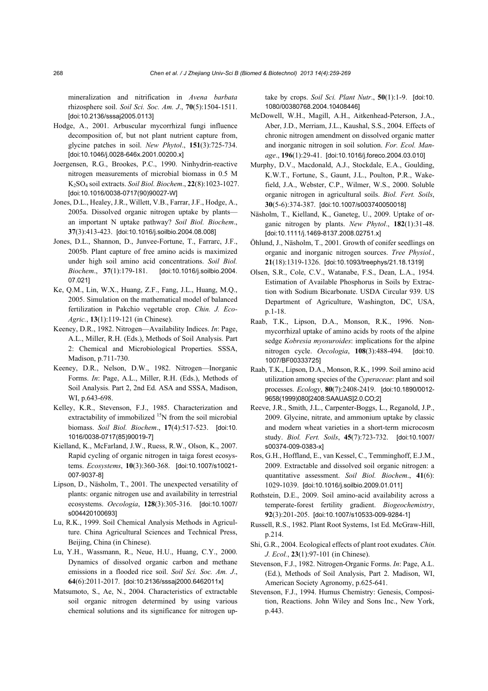mineralization and nitrification in *Avena barbata* rhizosphere soil. *Soil Sci. Soc. Am. J*., **70**(5):1504-1511. [doi:10.2136/sssaj2005.0113]

- Hodge, A., 2001. Arbuscular mycorrhizal fungi influence decomposition of, but not plant nutrient capture from, glycine patches in soil. *New Phytol*., **151**(3):725-734. [doi:10.1046/j.0028-646x.2001.00200.x]
- Joergensen, R.G., Brookes, P.C., 1990. Ninhydrin-reactive nitrogen measurements of microbial biomass in 0.5 M K2SO4 soil extracts. *Soil Biol. Biochem*., **22**(8):1023-1027. [doi:10.1016/0038-0717(90)90027-W]
- Jones, D.L., Healey, J.R., Willett, V.B., Farrar, J.F., Hodge, A., 2005a. Dissolved organic nitrogen uptake by plants an important N uptake pathway? *Soil Biol. Biochem*., **37**(3):413-423. [doi:10.1016/j.soilbio.2004.08.008]
- Jones, D.L., Shannon, D., Junvee-Fortune, T., Farrarc, J.F., 2005b. Plant capture of free amino acids is maximized under high soil amino acid concentrations. *Soil Biol. Biochem*., **37**(1):179-181. [doi:10.1016/j.soilbio.2004. 07.021]
- Ke, Q.M., Lin, W.X., Huang, Z.F., Fang, J.L., Huang, M.Q., 2005. Simulation on the mathematical model of balanced fertilization in Pakchio vegetable crop. *Chin. J. Eco-Agric.*, **13**(1):119-121 (in Chinese).
- Keeney, D.R., 1982. Nitrogen—Availability Indices. *In*: Page, A.L., Miller, R.H. (Eds.), Methods of Soil Analysis. Part 2: Chemical and Microbiological Properties. SSSA, Madison, p.711-730.
- Keeney, D.R., Nelson, D.W., 1982. Nitrogen—Inorganic Forms. *In*: Page, A.L., Miller, R.H. (Eds.), Methods of Soil Analysis. Part 2, 2nd Ed. ASA and SSSA, Madison, WI, p.643-698.
- Kelley, K.R., Stevenson, F.J., 1985. Characterization and extractability of immobilized <sup>15</sup>N from the soil microbial biomass. *Soil Biol. Biochem*., **17**(4):517-523. [doi:10. 1016/0038-0717(85)90019-7]
- Kielland, K., McFarland, J.W., Ruess, R.W., Olson, K., 2007. Rapid cycling of organic nitrogen in taiga forest ecosystems. *Ecosystems*, **10**(3):360-368. [doi:10.1007/s10021- 007-9037-8]
- Lipson, D., Näsholm, T., 2001. The unexpected versatility of plants: organic nitrogen use and availability in terrestrial ecosystems. *Oecologia*, **128**(3):305-316. [doi:10.1007/ s004420100693]
- Lu, R.K., 1999. Soil Chemical Analysis Methods in Agriculture. China Agricultural Sciences and Technical Press, Beijing, China (in Chinese).
- Lu, Y.H., Wassmann, R., Neue, H.U., Huang, C.Y., 2000. Dynamics of dissolved organic carbon and methane emissions in a flooded rice soil. *Soil Sci. Soc. Am. J*., **64**(6):2011-2017. [doi:10.2136/sssaj2000.6462011x]
- Matsumoto, S., Ae, N., 2004. Characteristics of extractable soil organic nitrogen determined by using various chemical solutions and its significance for nitrogen up-

take by crops. *Soil Sci. Plant Nutr*., **50**(1):1-9. [doi:10. 1080/00380768.2004.10408446]

- McDowell, W.H., Magill, A.H., Aitkenhead-Peterson, J.A., Aber, J.D., Merriam, J.L., Kaushal, S.S., 2004. Effects of chronic nitrogen amendment on dissolved organic matter and inorganic nitrogen in soil solution. *For. Ecol. Manage*., **196**(1):29-41. [doi:10.1016/j.foreco.2004.03.010]
- Murphy, D.V., Macdonald, A.J., Stockdale, E.A., Goulding, K.W.T., Fortune, S., Gaunt, J.L., Poulton, P.R., Wakefield, J.A., Webster, C.P., Wilmer, W.S., 2000. Soluble organic nitrogen in agricultural soils. *Biol. Fert. Soils*, **30**(5-6):374-387. [doi:10.1007/s003740050018]
- Näsholm, T., Kielland, K., Ganeteg, U., 2009. Uptake of organic nitrogen by plants. *New Phytol*., **182**(1):31-48. [doi:10.1111/j.1469-8137.2008.02751.x]
- Öhlund, J., Näsholm, T., 2001. Growth of conifer seedlings on organic and inorganic nitrogen sources. *Tree Physiol.*, **21**(18):1319-1326. [doi:10.1093/treephys/21.18.1319]
- Olsen, S.R., Cole, C.V., Watanabe, F.S., Dean, L.A., 1954. Estimation of Available Phosphorus in Soils by Extraction with Sodium Bicarbonate. USDA Circular 939. US Department of Agriculture, Washington, DC, USA, p.1-18.
- Raab, T.K., Lipson, D.A., Monson, R.K., 1996. Nonmycorrhizal uptake of amino acids by roots of the alpine sedge *Kobresia myosuroides*: implications for the alpine nitrogen cycle. *Oecologia*, **108**(3):488-494. [doi:10. 1007/BF00333725]
- Raab, T.K., Lipson, D.A., Monson, R.K., 1999. Soil amino acid utilization among species of the *Cyperaceae*: plant and soil processes. *Ecology*, **80**(7):2408-2419. [doi:10.1890/0012- 9658(1999)080[2408:SAAUAS]2.0.CO;2]
- Reeve, J.R., Smith, J.L., Carpenter-Boggs, L., Reganold, J.P., 2009. Glycine, nitrate, and ammonium uptake by classic and modern wheat varieties in a short-term microcosm study. *Biol. Fert. Soils*, **45**(7):723-732. [doi:10.1007/ s00374-009-0383-x]
- Ros, G.H., Hoffland, E., van Kessel, C., Temminghoff, E.J.M., 2009. Extractable and dissolved soil organic nitrogen: a quantitative assessment. *Soil Biol. Biochem*., **41**(6): 1029-1039. [doi:10.1016/j.soilbio.2009.01.011]
- Rothstein, D.E., 2009. Soil amino-acid availability across a temperate-forest fertility gradient. *Biogeochemistry*, **92**(3):201-205. [doi:10.1007/s10533-009-9284-1]
- Russell, R.S., 1982. Plant Root Systems, 1st Ed. McGraw-Hill, p.214.
- Shi, G.R., 2004. Ecological effects of plant root exudates. *Chin. J. Ecol.*, **23**(1):97-101 (in Chinese).
- Stevenson, F.J., 1982. Nitrogen-Organic Forms. *In*: Page, A.L. (Ed.), Methods of Soil Analysis, Part 2. Madison, WI, American Society Agronomy, p.625-641.
- Stevenson, F.J., 1994. Humus Chemistry: Genesis, Composition, Reactions. John Wiley and Sons Inc., New York, p.443.